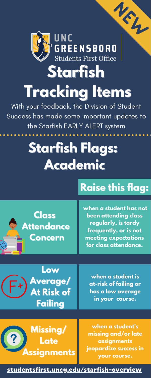# **Starfish Flags: Academic**





# **Concern**

**when a student has not been attending class regularly, is tardy frequently, or is not meeting expectations for class attendance.**

#### [studentsfirst.uncg.edu/starfish-overview](https://studentsfirst.uncg.edu/starfish-overview/)



# **Tracking Items**

With your feedback, the Division of Student Success has made some important updates to the Starfish EARLY ALERT system

**Missing/ Late Assignments**

**when a student is at-risk of failing or has a low average in your course.**

**when a student's missing and/or late assignments jeopardize success in your course.**

## **Raise this flag:**

 $\mathcal{L}_{\mathcal{L}}$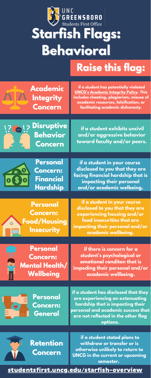**if a student in your course disclosed to you that they are experiencing housing and/or food insecurities that are impacting their personal and/or academic wellbeing.**

**Personal Concern: Financial Hardship**

**if a student in your course disclosed to you that they are facing financial hardship that is impacting their personal and/or academic welbeing.**

**Personal Concern: Food/Housing**









**if a student exhibits uncivil and/or aggressive behavior toward faculty and/or peers.**



 $\overline{O}$ 



## **Starfish Flags: Behavioral Raise this flag:**

**if a student has disclosed that they are experiencing an extenuating hardship that is impacting their personal and academic success that are not reflected in the other flag options.**

**if a student stated plans to withdraw or transfer or is otherwise unlikely to return to UNCG in the current or upcoming semester.**

**if there is concern for a student's psychological or emotional conditon that is impeding their personal and/or academic wellbeing.**

#### **Personal Concern: Mental Health/ Wellbeing**

#### [studentsfirst.uncg.edu/starfish-overview](https://studentsfirst.uncg.edu/starfish-overview/)

**if a student has potentially violated UNCG's [Academic](https://osrr.uncg.edu/academic-integrity/) Integrity Policy. This includes cheating, plagiarism, misuse of academic resources, falsification, or facilitating academic dishonesty.**

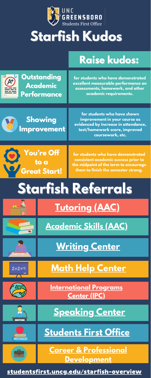**Outstanding Academic Performance**









**[International](https://international.uncg.edu/) Programs Center (IPC)**



**[Students](https://studentsfirst.uncg.edu/) First Office**



**Career & Professional [Development](https://cpd.uncg.edu/)**

**for students who have demonstrated excellent measurable performance on assessments, homework, and other academic requirements.**

**Showing Improvement**

> **for students who have demonstrated consistent academic success prior to the midpoint of the term to encourage them to finish the semester strong.**

**for students who have shown improvement in your course as evidenced by increase in attendance, test/homework score, improved coursework, etc.**

# **Starfish Referrals**





# **Starfish Kudos**



**[Writing](https://writingcenter.uncg.edu/) Center**











[studentsfirst.uncg.edu/starfish-overview](https://studentsfirst.uncg.edu/starfish-overview/)

## **Raise kudos:**